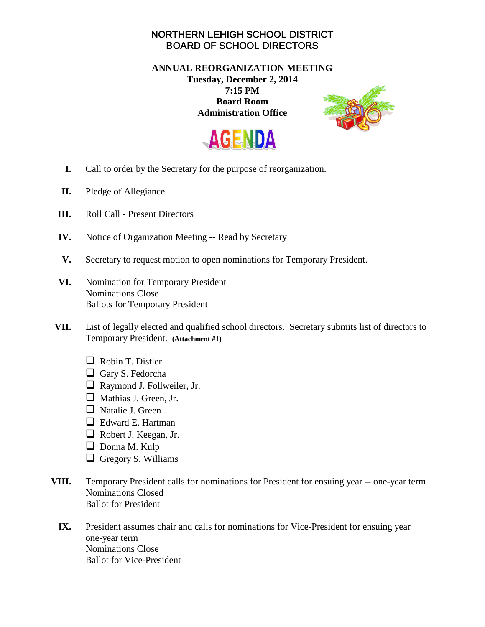## NORTHERN LEHIGH SCHOOL DISTRICT BOARD OF SCHOOL DIRECTORS

## **ANNUAL REORGANIZATION MEETING Tuesday, December 2, 2014 7:15 PM Board Room Administration Office**





- **I.** Call to order by the Secretary for the purpose of reorganization.
- **II.** Pledge of Allegiance
- **III.** Roll Call Present Directors
- **IV.** Notice of Organization Meeting -- Read by Secretary
- **V.** Secretary to request motion to open nominations for Temporary President.
- **VI.** Nomination for Temporary President Nominations Close Ballots for Temporary President
- **VII.** List of legally elected and qualified school directors. Secretary submits list of directors to Temporary President. **(Attachment #1)**
	- Robin T. Distler
	- Gary S. Fedorcha
	- Raymond J. Follweiler, Jr.
	- Mathias J. Green, Jr.
	- $\Box$  Natalie J. Green
	- □ Edward E. Hartman
	- Robert J. Keegan, Jr.
	- Donna M. Kulp
	- Gregory S. Williams
- **VIII.** Temporary President calls for nominations for President for ensuing year -- one-year term Nominations Closed Ballot for President
	- **IX.** President assumes chair and calls for nominations for Vice-President for ensuing year one-year term Nominations Close Ballot for Vice-President